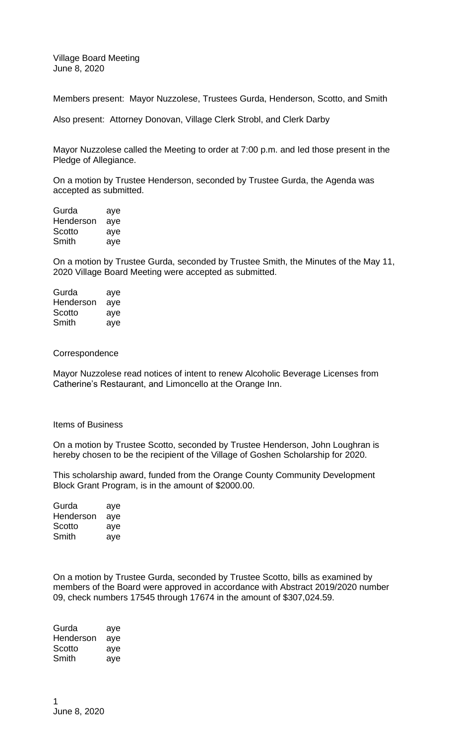Village Board Meeting June 8, 2020

Members present: Mayor Nuzzolese, Trustees Gurda, Henderson, Scotto, and Smith

Also present: Attorney Donovan, Village Clerk Strobl, and Clerk Darby

Mayor Nuzzolese called the Meeting to order at 7:00 p.m. and led those present in the Pledge of Allegiance.

On a motion by Trustee Henderson, seconded by Trustee Gurda, the Agenda was accepted as submitted.

Gurda aye Henderson aye Scotto aye Smith aye

On a motion by Trustee Gurda, seconded by Trustee Smith, the Minutes of the May 11, 2020 Village Board Meeting were accepted as submitted.

Gurda aye Henderson aye Scotto aye Smith aye

Correspondence

Mayor Nuzzolese read notices of intent to renew Alcoholic Beverage Licenses from Catherine's Restaurant, and Limoncello at the Orange Inn.

#### Items of Business

On a motion by Trustee Scotto, seconded by Trustee Henderson, John Loughran is hereby chosen to be the recipient of the Village of Goshen Scholarship for 2020.

This scholarship award, funded from the Orange County Community Development Block Grant Program, is in the amount of \$2000.00.

| Gurda     | aye |
|-----------|-----|
| Henderson | aye |
| Scotto    | aye |
| Smith     | ave |

On a motion by Trustee Gurda, seconded by Trustee Scotto, bills as examined by members of the Board were approved in accordance with Abstract 2019/2020 number 09, check numbers 17545 through 17674 in the amount of \$307,024.59.

Gurda aye Henderson aye Scotto aye Smith aye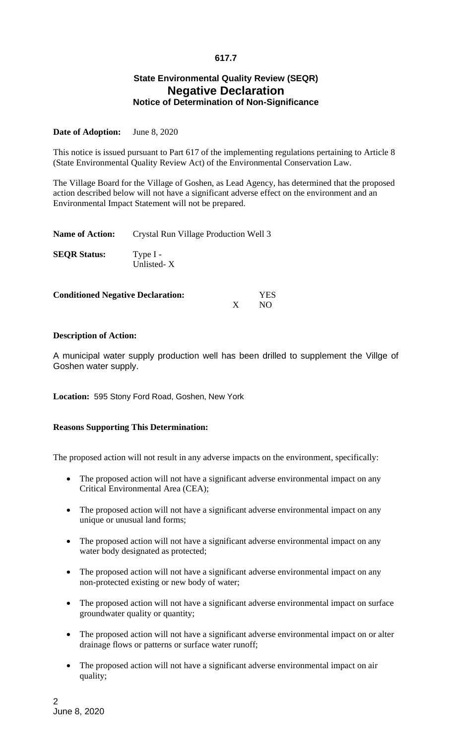## **617.7**

# **State Environmental Quality Review (SEQR) Negative Declaration Notice of Determination of Non-Significance**

### **Date of Adoption:** June 8, 2020

This notice is issued pursuant to Part 617 of the implementing regulations pertaining to Article 8 (State Environmental Quality Review Act) of the Environmental Conservation Law.

The Village Board for the Village of Goshen, as Lead Agency, has determined that the proposed action described below will not have a significant adverse effect on the environment and an Environmental Impact Statement will not be prepared.

| <b>Name of Action:</b> | Crystal Run Village Production Well 3 |
|------------------------|---------------------------------------|
| <b>SEOR Status:</b>    | Type $I -$<br>Unlisted-X              |

| <b>Conditioned Negative Declaration:</b> | <b>YES</b> |     |
|------------------------------------------|------------|-----|
|                                          |            | NO. |

### **Description of Action:**

A municipal water supply production well has been drilled to supplement the Villge of Goshen water supply.

**Location:** 595 Stony Ford Road, Goshen, New York

### **Reasons Supporting This Determination:**

The proposed action will not result in any adverse impacts on the environment, specifically:

- The proposed action will not have a significant adverse environmental impact on any Critical Environmental Area (CEA);
- The proposed action will not have a significant adverse environmental impact on any unique or unusual land forms;
- The proposed action will not have a significant adverse environmental impact on any water body designated as protected;
- The proposed action will not have a significant adverse environmental impact on any non-protected existing or new body of water;
- The proposed action will not have a significant adverse environmental impact on surface groundwater quality or quantity;
- The proposed action will not have a significant adverse environmental impact on or alter drainage flows or patterns or surface water runoff;
- The proposed action will not have a significant adverse environmental impact on air quality;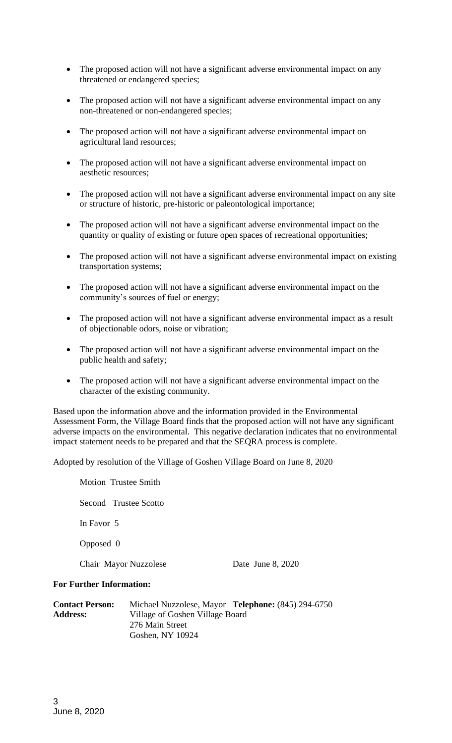- The proposed action will not have a significant adverse environmental impact on any threatened or endangered species;
- The proposed action will not have a significant adverse environmental impact on any non-threatened or non-endangered species;
- The proposed action will not have a significant adverse environmental impact on agricultural land resources;
- The proposed action will not have a significant adverse environmental impact on aesthetic resources;
- The proposed action will not have a significant adverse environmental impact on any site or structure of historic, pre-historic or paleontological importance;
- The proposed action will not have a significant adverse environmental impact on the quantity or quality of existing or future open spaces of recreational opportunities;
- The proposed action will not have a significant adverse environmental impact on existing transportation systems;
- The proposed action will not have a significant adverse environmental impact on the community's sources of fuel or energy;
- The proposed action will not have a significant adverse environmental impact as a result of objectionable odors, noise or vibration;
- The proposed action will not have a significant adverse environmental impact on the public health and safety;
- The proposed action will not have a significant adverse environmental impact on the character of the existing community.

Based upon the information above and the information provided in the Environmental Assessment Form, the Village Board finds that the proposed action will not have any significant adverse impacts on the environmental. This negative declaration indicates that no environmental impact statement needs to be prepared and that the SEQRA process is complete.

Adopted by resolution of the Village of Goshen Village Board on June 8, 2020

Motion Trustee Smith Second Trustee Scotto In Favor 5 Opposed 0 Chair Mayor Nuzzolese Date June 8, 2020

#### **For Further Information:**

| <b>Contact Person:</b> | Michael Nuzzolese, Mayor Telephone: (845) 294-6750 |
|------------------------|----------------------------------------------------|
| <b>Address:</b>        | Village of Goshen Village Board                    |
|                        | 276 Main Street                                    |
|                        | Goshen, NY 10924                                   |